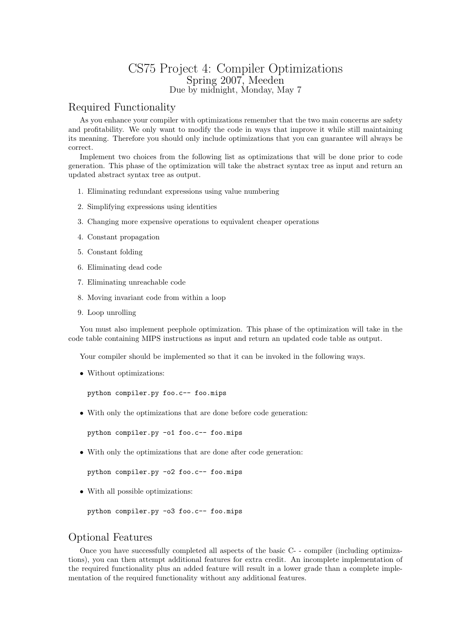## CS75 Project 4: Compiler Optimizations Spring 2007, Meeden Due by midnight, Monday, May 7

## Required Functionality

As you enhance your compiler with optimizations remember that the two main concerns are safety and profitability. We only want to modify the code in ways that improve it while still maintaining its meaning. Therefore you should only include optimizations that you can guarantee will always be correct.

Implement two choices from the following list as optimizations that will be done prior to code generation. This phase of the optimization will take the abstract syntax tree as input and return an updated abstract syntax tree as output.

- 1. Eliminating redundant expressions using value numbering
- 2. Simplifying expressions using identities
- 3. Changing more expensive operations to equivalent cheaper operations
- 4. Constant propagation
- 5. Constant folding
- 6. Eliminating dead code
- 7. Eliminating unreachable code
- 8. Moving invariant code from within a loop
- 9. Loop unrolling

You must also implement peephole optimization. This phase of the optimization will take in the code table containing MIPS instructions as input and return an updated code table as output.

Your compiler should be implemented so that it can be invoked in the following ways.

• Without optimizations:

python compiler.py foo.c-- foo.mips

• With only the optimizations that are done before code generation:

python compiler.py -o1 foo.c-- foo.mips

• With only the optimizations that are done after code generation:

python compiler.py -o2 foo.c-- foo.mips

• With all possible optimizations:

```
python compiler.py -o3 foo.c-- foo.mips
```
## Optional Features

Once you have successfully completed all aspects of the basic C- - compiler (including optimizations), you can then attempt additional features for extra credit. An incomplete implementation of the required functionality plus an added feature will result in a lower grade than a complete implementation of the required functionality without any additional features.